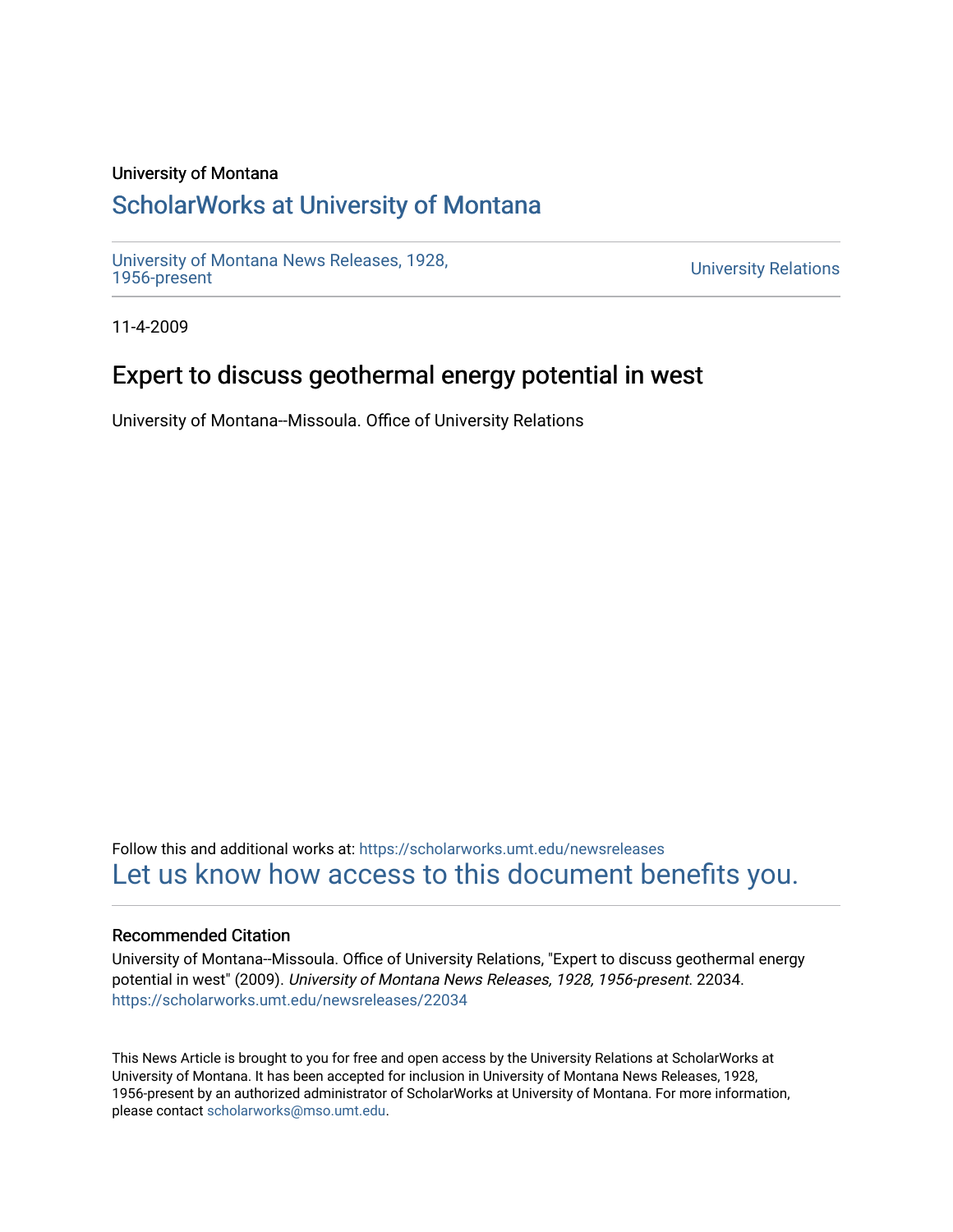#### University of Montana

## [ScholarWorks at University of Montana](https://scholarworks.umt.edu/)

[University of Montana News Releases, 1928,](https://scholarworks.umt.edu/newsreleases) 

**University Relations** 

11-4-2009

## Expert to discuss geothermal energy potential in west

University of Montana--Missoula. Office of University Relations

Follow this and additional works at: [https://scholarworks.umt.edu/newsreleases](https://scholarworks.umt.edu/newsreleases?utm_source=scholarworks.umt.edu%2Fnewsreleases%2F22034&utm_medium=PDF&utm_campaign=PDFCoverPages) [Let us know how access to this document benefits you.](https://goo.gl/forms/s2rGfXOLzz71qgsB2) 

#### Recommended Citation

University of Montana--Missoula. Office of University Relations, "Expert to discuss geothermal energy potential in west" (2009). University of Montana News Releases, 1928, 1956-present. 22034. [https://scholarworks.umt.edu/newsreleases/22034](https://scholarworks.umt.edu/newsreleases/22034?utm_source=scholarworks.umt.edu%2Fnewsreleases%2F22034&utm_medium=PDF&utm_campaign=PDFCoverPages) 

This News Article is brought to you for free and open access by the University Relations at ScholarWorks at University of Montana. It has been accepted for inclusion in University of Montana News Releases, 1928, 1956-present by an authorized administrator of ScholarWorks at University of Montana. For more information, please contact [scholarworks@mso.umt.edu.](mailto:scholarworks@mso.umt.edu)